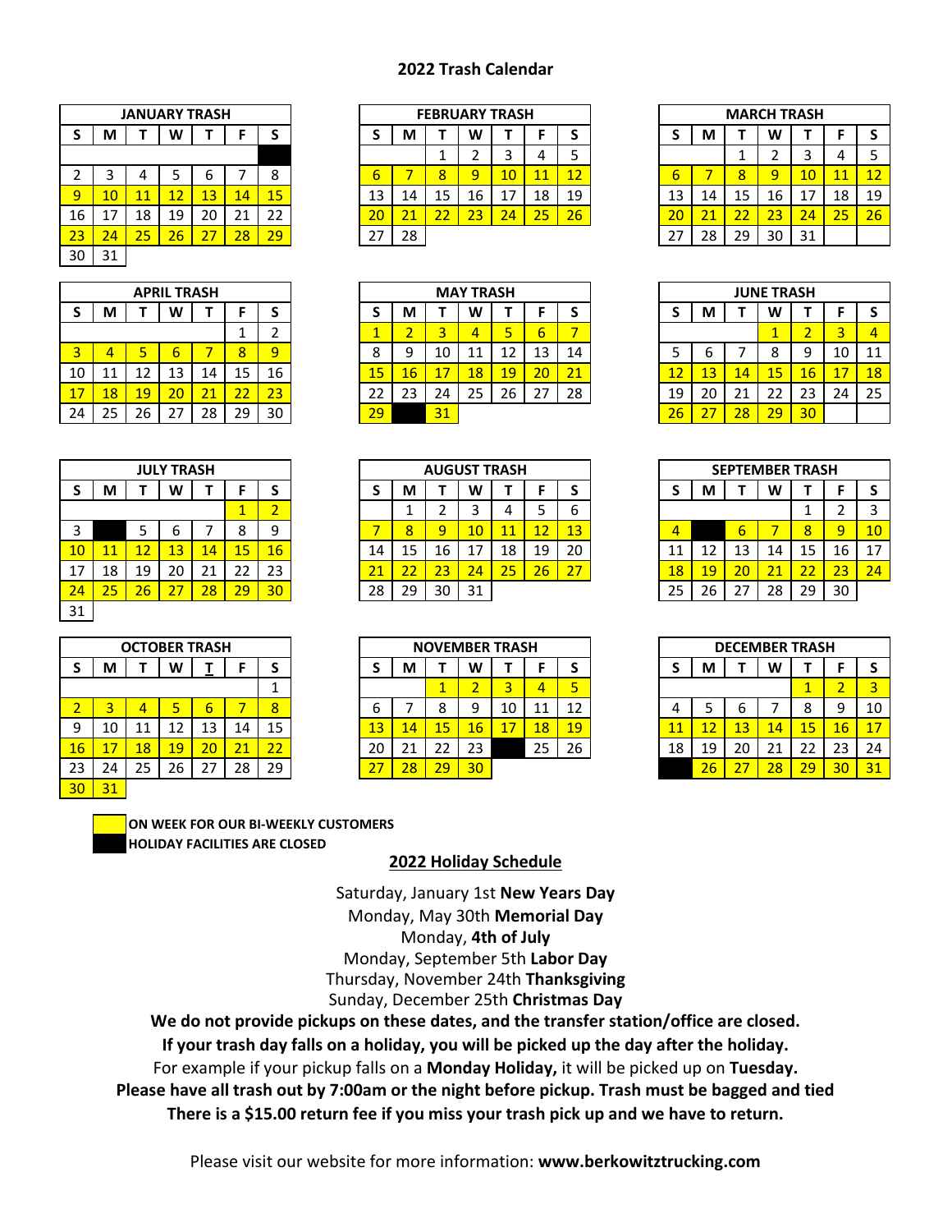## **2022 Trash Calendar**

|    |    | <b>JANUARY TRASH</b> |    |    |    |             |
|----|----|----------------------|----|----|----|-------------|
| S  | M  | т                    | W  | т  | F  | $\mathsf S$ |
|    |    |                      |    |    |    |             |
| 2  | 3  | 4                    | 5  | 6  |    | 8           |
| 9  | 10 | 11                   | 12 | 13 | 14 | 15          |
| 16 | 17 | 18                   | 19 | 20 | 21 | 22          |
| 23 | 24 | 25                   | 26 | 27 | 28 | 29          |
| 30 | 31 |                      |    |    |    |             |

|    |    |    | <b>APRIL TRASH</b> |    |    |                |
|----|----|----|--------------------|----|----|----------------|
| S  | М  |    | W                  |    | F  | S              |
|    |    |    |                    |    | 1  | $\overline{2}$ |
| 3  | 4  | 5  | 6                  |    | 8  | q              |
| 10 | 11 | 12 | 13                 | 14 | 15 | 16             |
| 17 | 18 | 19 | 20                 | 21 | 22 | 23             |
| 24 | 25 | 26 | 27                 | 28 | 29 | 30             |

|         |    |    | <b>JULY TRASH</b> |    |    |                |
|---------|----|----|-------------------|----|----|----------------|
| $\sf S$ | M  | Т  | W                 |    | F  | S              |
|         |    |    |                   |    | 1  | $\overline{2}$ |
| 3       |    | 5  | 6                 | 7  | 8  | 9              |
| 10      | 11 | 12 | 13                | 14 | 15 | 16             |
| 17      | 18 | 19 | 20                | 21 | 22 | 23             |
| 24      | 25 | 26 | 27                | 28 | 29 | 30             |
| 31      |    |    |                   |    |    |                |

|                |    |    | <b>OCTOBER TRASH</b> |    |    |    |
|----------------|----|----|----------------------|----|----|----|
| S              | М  |    | w                    |    | F  | S  |
|                |    |    |                      |    |    | 1  |
| $\overline{2}$ | 3  | 4  | 5                    | 6  | 7  | 8  |
| 9              | 10 | 11 | 12                   | 13 | 14 | 15 |
| 16             | 17 | 18 | 19                   | 20 | 21 | 22 |
| 23             | 24 | 25 | 26                   | 27 | 28 | 29 |
| 30             | 31 |    |                      |    |    |    |

|        |    | <b>JANUARY TRASH</b> |                 |    |    |    |    |    | <b>FEBRUARY TRASH</b> |          |    |    |    |          |    |    | <b>MARCH TRASH</b> |                 |    |  |
|--------|----|----------------------|-----------------|----|----|----|----|----|-----------------------|----------|----|----|----|----------|----|----|--------------------|-----------------|----|--|
| S      | М  |                      | W               |    |    |    |    | М  |                       | W        |    |    |    |          | M  |    | w                  |                 |    |  |
|        |    |                      |                 |    |    |    |    |    |                       |          |    |    |    |          |    |    |                    |                 |    |  |
| ∠      |    |                      |                 |    |    |    | ь  |    | 8                     | $\Omega$ | 10 | 41 | 12 | ь        |    |    | Ω                  | 10 <sub>1</sub> |    |  |
| 9      | 10 | 11                   |                 | 13 | 14 | 15 | 13 | 14 | 15                    | 16       | 17 | 18 | 19 | 13       | 14 | 15 | 16                 | 17              | 18 |  |
| 16     |    | 18                   | 19              | 20 | ∠⊥ | 22 | 20 |    | 22                    | 23       | 24 | 25 | 26 | 20       |    | 22 | 23                 | 24              | 25 |  |
| $23 -$ | 24 | 25                   | 26 <sub>1</sub> |    | 28 | 29 | 27 | 28 |                       |          |    |    |    | <u>.</u> | 28 | 29 | 30                 | 31              |    |  |
|        |    |                      |                 |    |    |    |    |    |                       |          |    |    |    |          |    |    |                    |                 |    |  |

|    |    |         | <b>APRIL TRASH</b> |    |    |    |
|----|----|---------|--------------------|----|----|----|
| S  | М  |         | w                  |    |    |    |
|    |    |         |                    |    |    |    |
| 3  |    |         |                    |    |    |    |
| 10 | ᆂᆂ | ົ<br>12 | 13                 | 14 | 15 | 16 |
| 17 | 18 | 19      | 20 <sub>1</sub>    |    |    | 23 |
| 24 | 25 | 26      |                    | 28 | 29 | 30 |

|                 |    |    | <b>JULY TRASH</b> |    |    |    |    |    |    | <b>AUGUST TRASH</b> |          |    |    |    |    |    |    | <b>SEPTEMBER TRASH</b> |    |  |
|-----------------|----|----|-------------------|----|----|----|----|----|----|---------------------|----------|----|----|----|----|----|----|------------------------|----|--|
| S               | М  |    | W                 |    |    |    |    | М  |    | W                   |          |    |    |    | M  |    | W  |                        |    |  |
|                 |    |    |                   |    |    |    |    |    |    |                     |          |    | ь  |    |    |    |    | -                      |    |  |
| 3               |    |    |                   |    |    |    |    |    | 9  | 10                  | 11<br>-- |    | 13 | Δ  |    | ь  |    | 8                      |    |  |
| 10 <sup>°</sup> |    | 12 | 13                | 14 | 15 | 16 | 14 | 15 | 16 |                     | 18       | 19 | 20 |    |    | 13 | 14 | 15                     | 16 |  |
| 17              | 18 | 19 | 20                | 21 | 22 | 23 | 21 |    | 23 | 24                  | 25       | 26 | 27 | 18 | 19 | 20 |    | 22                     | 23 |  |
| 24              | 25 | 26 |                   | 28 | 29 | 30 | 28 | 29 | 30 | 31                  |          |    |    | 25 | 26 | 27 | 28 | 29                     | 30 |  |
|                 |    |    |                   |    |    |    |    |    |    |                     |          |    |    |    |    |    |    |                        |    |  |

|    |    | <b>OCTOBER TRASH</b> |    |    |    |    |                          |             | <b>NOVEMBER TRASH</b> |    |    |    |    |
|----|----|----------------------|----|----|----|----|--------------------------|-------------|-----------------------|----|----|----|----|
| S  | М  |                      | W  |    |    |    |                          | М           |                       | W  |    |    |    |
|    |    |                      |    |    |    |    |                          |             |                       |    |    |    |    |
|    |    |                      |    |    |    |    | ь                        |             |                       |    | 10 |    | 12 |
| 9  | 10 |                      |    | 13 | 14 | 15 | 13                       | <u> 147</u> | 15                    | 46 | 17 | 18 | 19 |
| 16 |    | 18                   | 19 |    |    |    | 20                       |             | 22                    | 23 |    | 25 | 26 |
| 23 | 24 | 25                   | 26 |    | 28 | 29 | $\overline{\phantom{a}}$ | 28.         | 29                    |    |    |    |    |

|             |    |    |    | <b>MARCH TRASH</b> |    |    |
|-------------|----|----|----|--------------------|----|----|
| $\mathsf S$ | M  | т  | W  | т                  | F  | S  |
|             |    | 1  | 2  | 3                  | 4  | 5  |
| 6           |    | 8  | 9  | 10                 | 11 | 12 |
| 13          | 14 | 15 | 16 | 17                 | 18 | 19 |
| 20          | 21 | 22 | 23 | 24                 | 25 | 26 |
| 27          | 28 | 29 | 30 | 31                 |    |    |

|    |    |    | <b>JUNE TRASH</b> |                |    |    |
|----|----|----|-------------------|----------------|----|----|
| S  | M  |    | W                 | т              | F  | S  |
|    |    |    |                   | $\overline{2}$ | 3  |    |
| 5  | 6  |    | 8                 | 9              | 10 | 11 |
| 12 | 13 | 14 | 15                | 16             | 17 | 18 |
| 19 | 20 | 21 | 22                | 23             | 24 | 25 |
| 26 | 27 | 28 | 29                | 30             |    |    |

|             |    |    |    | <b>SEPTEMBER TRASH</b> |    |    |
|-------------|----|----|----|------------------------|----|----|
| $\mathsf S$ | M  | т  | W  | т                      | F  | S  |
|             |    |    |    | 1                      | 2  | 3  |
| 4           |    | 6  |    | 8                      | 9  | 10 |
| 11          | 12 | 13 | 14 | 15                     | 16 | 17 |
| 18          | 19 | 20 | 21 | 22                     | 23 | 24 |
| 25          | 26 | 27 | 28 | 29                     | 30 |    |

|    |    | <b>OCTOBER TRASH</b> |    |    |    |    |                          |         | <b>NOVEMBER TRASH</b> |    |    |                  |    |
|----|----|----------------------|----|----|----|----|--------------------------|---------|-----------------------|----|----|------------------|----|
| S  | М  |                      | W  |    |    |    |                          | M       |                       | W  |    |                  |    |
|    |    |                      |    |    |    |    |                          |         |                       |    |    |                  |    |
|    |    |                      |    | ь  |    |    |                          |         |                       | u  | 10 | ᆠᆠ               | ົາ |
| 9  | 10 | 11                   |    | 13 | 14 | 15 | 13                       | 14      | 15                    | 16 |    | $\overline{18'}$ | 19 |
| 16 |    | 18                   | 19 | 20 |    | 22 | 20                       | ີ<br>∠⊥ | LL                    | 23 |    | 25               | 26 |
| 23 | 24 | 25                   | 26 | 27 | 28 | 29 | $\overline{\phantom{a}}$ | 28      | 29                    | 30 |    |                  |    |

**HOLIDAY FACILITIES ARE CLOSED ON WEEK FOR OUR BI-WEEKLY CUSTOMERS**

## **2022 Holiday Schedule**

Monday, September 5th **Labor Day**  Thursday, November 24th **Thanksgiving** Sunday, December 25th **Christmas Day**  Saturday, January 1st **New Years Day** Monday, May 30th **Memorial Day**  Monday, **4th of July**

**We do not provide pickups on these dates, and the transfer station/office are closed.**

**If your trash day falls on a holiday, you will be picked up the day after the holiday.**

For example if your pickup falls on a **Monday Holiday,** it will be picked up on **Tuesday.**

**Please have all trash out by 7:00am or the night before pickup. Trash must be bagged and tied**

**There is a \$15.00 return fee if you miss your trash pick up and we have to return.**